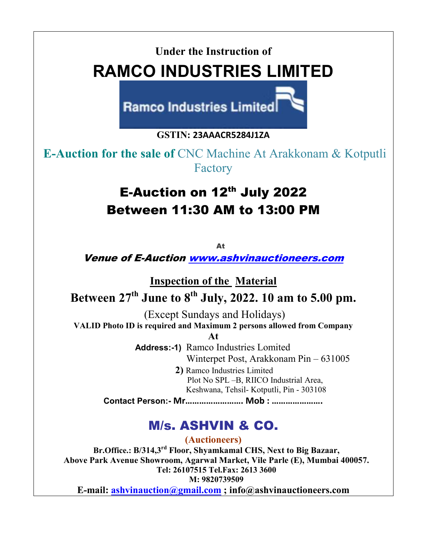### **Under the Instruction of**

# **RAMCO INDUSTRIES LIMITED**

**Ramco Industries Limited** 

#### **GSTIN: 23AAACR5284J1ZA**

 **E-Auction for the sale of** CNC Machine At Arakkonam & Kotputli Factory

## E-Auction on 12th July 2022 Between 11:30 AM to 13:00 PM

**At a set of the set of the set of the set of the set of the set of the set of the set of the set of the set of the set of the set of the set of the set of the set of the set of the set of the set of the set of the set of** 

Venue of E-Auction www.ashvinauctioneers.com

**Inspection of the Material** 

### **Between 27th June to 8th July, 2022. 10 am to 5.00 pm.**

 (Except Sundays and Holidays) **VALID Photo ID is required and Maximum 2 persons allowed from Company** 

**At** 

 **Address:-1)** Ramco Industries Lomited Winterpet Post, Arakkonam Pin – 631005

 **2)** Ramco Industries Limited Plot No SPL –B, RIICO Industrial Area, Keshwana, Tehsil- Kotputli, Pin - 303108

**Contact Person:- Mr……………………. Mob : ………………….**

### M/s. ASHVIN & CO.

**(Auctioneers)**

**Br.Office.: B/314,3rd Floor, Shyamkamal CHS, Next to Big Bazaar, Above Park Avenue Showroom, Agarwal Market, Vile Parle (E), Mumbai 400057. Tel: 26107515 Tel.Fax: 2613 3600 M: 9820739509**

**E-mail: ashvinauction@gmail.com ; info@ashvinauctioneers.com**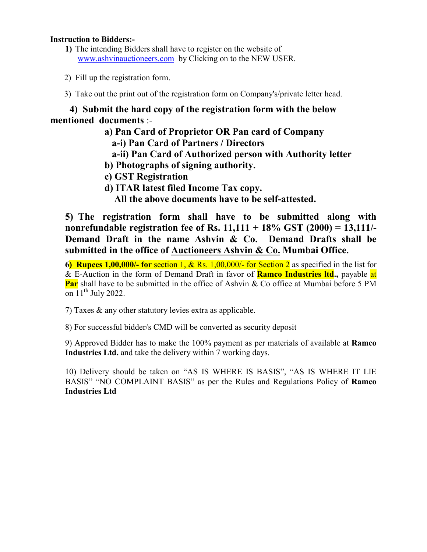#### **Instruction to Bidders:-**

- **1)** The intending Bidders shall have to register on the website of www.ashvinauctioneers.com by Clicking on to the NEW USER.
- 2) Fill up the registration form.
- 3) Take out the print out of the registration form on Company's/private letter head.

 **4) Submit the hard copy of the registration form with the below mentioned documents** :-

> **a) Pan Card of Proprietor OR Pan card of Company a-i) Pan Card of Partners / Directors**

- **a-ii) Pan Card of Authorized person with Authority letter**
- **b) Photographs of signing authority.**
- **c) GST Registration**
- **d) ITAR latest filed Income Tax copy.**

 **All the above documents have to be self-attested.** 

**5) The registration form shall have to be submitted along with nonrefundable registration fee of Rs. 11,111 + 18% GST (2000) = 13,111/- Demand Draft in the name Ashvin & Co. Demand Drafts shall be submitted in the office of Auctioneers Ashvin & Co. Mumbai Office.**

**6) Rupees 1,00,000/- for** section 1, & Rs. 1,00,000/- for Section 2 as specified in the list for & E-Auction in the form of Demand Draft in favor of **Ramco Industries ltd.,** payable at **Par** shall have to be submitted in the office of Ashvin & Co office at Mumbai before 5 PM on  $11^{th}$  July 2022.

7) Taxes & any other statutory levies extra as applicable.

8) For successful bidder/s CMD will be converted as security deposit

9) Approved Bidder has to make the 100% payment as per materials of available at **Ramco Industries Ltd.** and take the delivery within 7 working days.

10) Delivery should be taken on "AS IS WHERE IS BASIS", "AS IS WHERE IT LIE BASIS" "NO COMPLAINT BASIS" as per the Rules and Regulations Policy of **Ramco Industries Ltd.**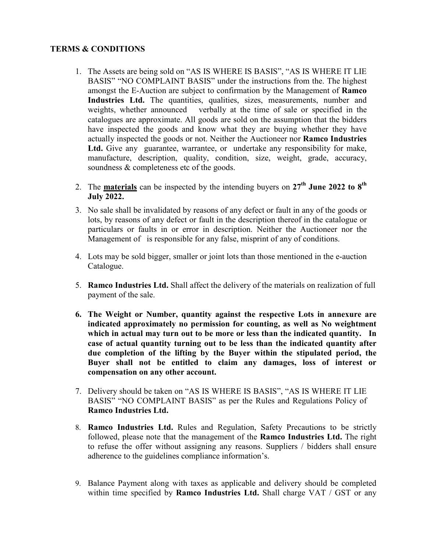#### **TERMS & CONDITIONS**

- 1. The Assets are being sold on "AS IS WHERE IS BASIS", "AS IS WHERE IT LIE BASIS" "NO COMPLAINT BASIS" under the instructions from the. The highest amongst the E-Auction are subject to confirmation by the Management of **Ramco Industries Ltd.** The quantities, qualities, sizes, measurements, number and weights, whether announced verbally at the time of sale or specified in the catalogues are approximate. All goods are sold on the assumption that the bidders have inspected the goods and know what they are buying whether they have actually inspected the goods or not. Neither the Auctioneer nor **Ramco Industries**  Ltd. Give any guarantee, warrantee, or undertake any responsibility for make, manufacture, description, quality, condition, size, weight, grade, accuracy, soundness  $&$  completeness etc of the goods.
- 2. The **materials** can be inspected by the intending buyers on **27th June 2022 to 8th July 2022.**
- 3. No sale shall be invalidated by reasons of any defect or fault in any of the goods or lots, by reasons of any defect or fault in the description thereof in the catalogue or particulars or faults in or error in description. Neither the Auctioneer nor the Management of is responsible for any false, misprint of any of conditions.
- 4. Lots may be sold bigger, smaller or joint lots than those mentioned in the e-auction Catalogue.
- 5. **Ramco Industries Ltd.** Shall affect the delivery of the materials on realization of full payment of the sale.
- **6. The Weight or Number, quantity against the respective Lots in annexure are indicated approximately no permission for counting, as well as No weightment which in actual may turn out to be more or less than the indicated quantity. In case of actual quantity turning out to be less than the indicated quantity after due completion of the lifting by the Buyer within the stipulated period, the Buyer shall not be entitled to claim any damages, loss of interest or compensation on any other account.**
- 7. Delivery should be taken on "AS IS WHERE IS BASIS", "AS IS WHERE IT LIE BASIS" "NO COMPLAINT BASIS" as per the Rules and Regulations Policy of **Ramco Industries Ltd.**
- 8. **Ramco Industries Ltd.** Rules and Regulation, Safety Precautions to be strictly followed, please note that the management of the **Ramco Industries Ltd.** The right to refuse the offer without assigning any reasons. Suppliers / bidders shall ensure adherence to the guidelines compliance information's.
- 9. Balance Payment along with taxes as applicable and delivery should be completed within time specified by **Ramco Industries Ltd.** Shall charge VAT / GST or any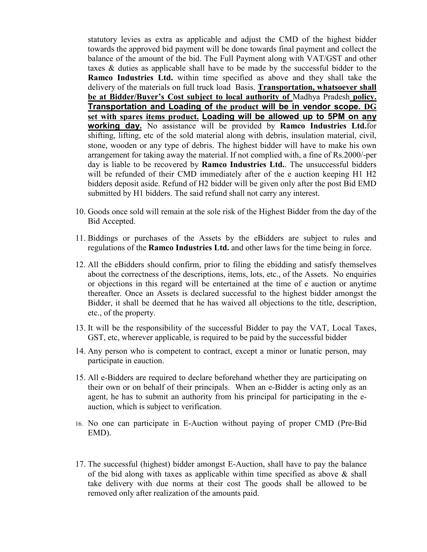statutory levies as extra as applicable and adjust the CMD of the highest bidder towards the approved bid payment will be done towards final payment and collect the balance of the amount of the bid. The Full Payment along with VAT/GST and other taxes & duties as applicable shall have to be made by the successful bidder to the **Ramco Industries Ltd.** within time specified as above and they shall take the delivery of the materials on full truck load Basis. **Transportation, whatsoever shall be at Bidder/Buyer's Cost subject to local authority of** Madhya Pradesh **policy. Transportation and Loading of the product will be in vendor scope. DG set with spares items product. Loading will be allowed up to 5PM on any working day.** No assistance will be provided by **Ramco Industries Ltd.**for shifting, lifting, etc of the sold material along with debris, insulation material, civil, stone, wooden or any type of debris. The highest bidder will have to make his own arrangement for taking away the material. If not complied with, a fine of Rs.2000/-per day is liable to be recovered by **Ramco Industries Ltd.**. The unsuccessful bidders will be refunded of their CMD immediately after of the e auction keeping H1 H2 bidders deposit aside. Refund of H2 bidder will be given only after the post Bid EMD submitted by H1 bidders. The said refund shall not carry any interest.

- 10. Goods once sold will remain at the sole risk of the Highest Bidder from the day of the Bid Accepted.
- 11. Biddings or purchases of the Assets by the eBidders are subject to rules and regulations of the **Ramco Industries Ltd.** and other laws for the time being in force.
- 12. All the eBidders should confirm, prior to filing the ebidding and satisfy themselves about the correctness of the descriptions, items, lots, etc., of the Assets. No enquiries or objections in this regard will be entertained at the time of e auction or anytime thereafter. Once an Assets is declared successful to the highest bidder amongst the Bidder, it shall be deemed that he has waived all objections to the title, description, etc., of the property.
- 13. It will be the responsibility of the successful Bidder to pay the VAT, Local Taxes, GST, etc, wherever applicable, is required to be paid by the successful bidder
- 14. Any person who is competent to contract, except a minor or lunatic person, may participate in eauction.
- 15. All e-Bidders are required to declare beforehand whether they are participating on their own or on behalf of their principals. When an e-Bidder is acting only as an agent, he has to submit an authority from his principal for participating in the eauction, which is subject to verification.
- 16. No one can participate in E-Auction without paying of proper CMD (Pre-Bid EMD).
- 17. The successful (highest) bidder amongst E-Auction, shall have to pay the balance of the bid along with taxes as applicable within time specified as above  $\&$  shall take delivery with due norms at their cost The goods shall be allowed to be removed only after realization of the amounts paid.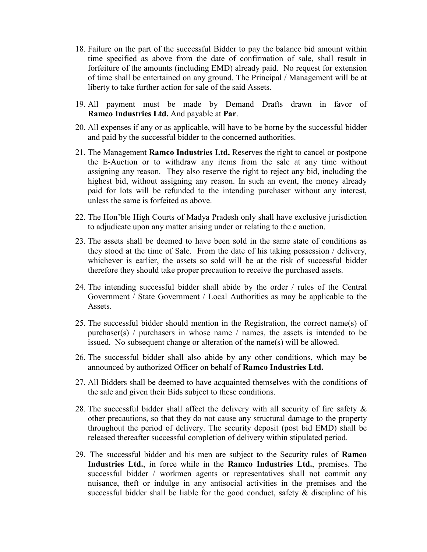- 18. Failure on the part of the successful Bidder to pay the balance bid amount within time specified as above from the date of confirmation of sale, shall result in forfeiture of the amounts (including EMD) already paid. No request for extension of time shall be entertained on any ground. The Principal / Management will be at liberty to take further action for sale of the said Assets.
- 19. All payment must be made by Demand Drafts drawn in favor of **Ramco Industries Ltd.** And payable at **Par**.
- 20. All expenses if any or as applicable, will have to be borne by the successful bidder and paid by the successful bidder to the concerned authorities.
- 21. The Management **Ramco Industries Ltd.** Reserves the right to cancel or postpone the E-Auction or to withdraw any items from the sale at any time without assigning any reason. They also reserve the right to reject any bid, including the highest bid, without assigning any reason. In such an event, the money already paid for lots will be refunded to the intending purchaser without any interest, unless the same is forfeited as above.
- 22. The Hon'ble High Courts of Madya Pradesh only shall have exclusive jurisdiction to adjudicate upon any matter arising under or relating to the e auction.
- 23. The assets shall be deemed to have been sold in the same state of conditions as they stood at the time of Sale. From the date of his taking possession / delivery, whichever is earlier, the assets so sold will be at the risk of successful bidder therefore they should take proper precaution to receive the purchased assets.
- 24. The intending successful bidder shall abide by the order / rules of the Central Government / State Government / Local Authorities as may be applicable to the Assets.
- 25. The successful bidder should mention in the Registration, the correct name(s) of purchaser(s) / purchasers in whose name / names, the assets is intended to be issued. No subsequent change or alteration of the name(s) will be allowed.
- 26. The successful bidder shall also abide by any other conditions, which may be announced by authorized Officer on behalf of **Ramco Industries Ltd.**
- 27. All Bidders shall be deemed to have acquainted themselves with the conditions of the sale and given their Bids subject to these conditions.
- 28. The successful bidder shall affect the delivery with all security of fire safety  $\&$ other precautions, so that they do not cause any structural damage to the property throughout the period of delivery. The security deposit (post bid EMD) shall be released thereafter successful completion of delivery within stipulated period.
- 29. The successful bidder and his men are subject to the Security rules of **Ramco Industries Ltd.**, in force while in the **Ramco Industries Ltd.**, premises. The successful bidder / workmen agents or representatives shall not commit any nuisance, theft or indulge in any antisocial activities in the premises and the successful bidder shall be liable for the good conduct, safety & discipline of his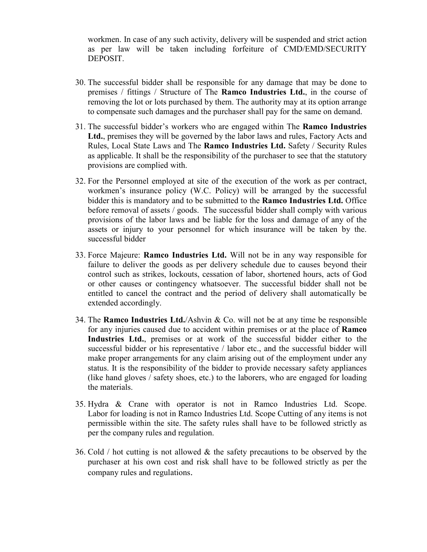workmen. In case of any such activity, delivery will be suspended and strict action as per law will be taken including forfeiture of CMD/EMD/SECURITY DEPOSIT.

- 30. The successful bidder shall be responsible for any damage that may be done to premises / fittings / Structure of The **Ramco Industries Ltd.**, in the course of removing the lot or lots purchased by them. The authority may at its option arrange to compensate such damages and the purchaser shall pay for the same on demand.
- 31. The successful bidder's workers who are engaged within The **Ramco Industries Ltd.**, premises they will be governed by the labor laws and rules, Factory Acts and Rules, Local State Laws and The **Ramco Industries Ltd.** Safety / Security Rules as applicable. It shall be the responsibility of the purchaser to see that the statutory provisions are complied with.
- 32. For the Personnel employed at site of the execution of the work as per contract, workmen's insurance policy (W.C. Policy) will be arranged by the successful bidder this is mandatory and to be submitted to the **Ramco Industries Ltd.** Office before removal of assets / goods. The successful bidder shall comply with various provisions of the labor laws and be liable for the loss and damage of any of the assets or injury to your personnel for which insurance will be taken by the. successful bidder
- 33. Force Majeure: **Ramco Industries Ltd.** Will not be in any way responsible for failure to deliver the goods as per delivery schedule due to causes beyond their control such as strikes, lockouts, cessation of labor, shortened hours, acts of God or other causes or contingency whatsoever. The successful bidder shall not be entitled to cancel the contract and the period of delivery shall automatically be extended accordingly.
- 34. The **Ramco Industries Ltd.**/Ashvin & Co. will not be at any time be responsible for any injuries caused due to accident within premises or at the place of **Ramco Industries Ltd.**, premises or at work of the successful bidder either to the successful bidder or his representative / labor etc., and the successful bidder will make proper arrangements for any claim arising out of the employment under any status. It is the responsibility of the bidder to provide necessary safety appliances (like hand gloves / safety shoes, etc.) to the laborers, who are engaged for loading the materials.
- 35. Hydra & Crane with operator is not in Ramco Industries Ltd. Scope. Labor for loading is not in Ramco Industries Ltd. Scope Cutting of any items is not permissible within the site. The safety rules shall have to be followed strictly as per the company rules and regulation.
- 36. Cold / hot cutting is not allowed & the safety precautions to be observed by the purchaser at his own cost and risk shall have to be followed strictly as per the company rules and regulations.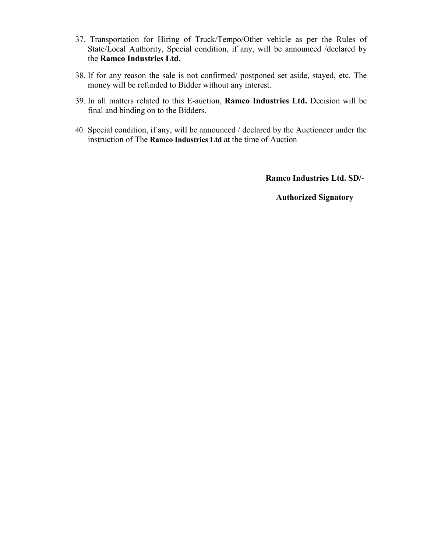- 37. Transportation for Hiring of Truck/Tempo/Other vehicle as per the Rules of State/Local Authority, Special condition, if any, will be announced /declared by the **Ramco Industries Ltd.**
- 38. If for any reason the sale is not confirmed/ postponed set aside, stayed, etc. The money will be refunded to Bidder without any interest.
- 39. In all matters related to this E-auction, **Ramco Industries Ltd.** Decision will be final and binding on to the Bidders.
- 40. Special condition, if any, will be announced / declared by the Auctioneer under the instruction of The **Ramco Industries Ltd** at the time of Auction

 **Ramco Industries Ltd. SD/-** 

**Authorized Signatory**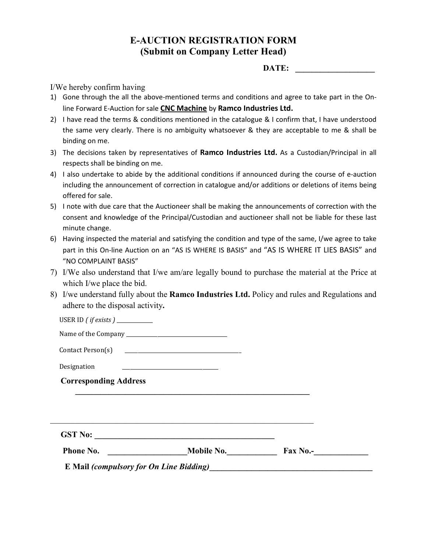#### **E-AUCTION REGISTRATION FORM (Submit on Company Letter Head)**

**DATE:**  $\blacksquare$ 

I/We hereby confirm having

İ

- 1) Gone through the all the above-mentioned terms and conditions and agree to take part in the Online Forward E-Auction for sale **CNC Machine** by **Ramco Industries Ltd.**
- 2) I have read the terms & conditions mentioned in the catalogue & I confirm that, I have understood the same very clearly. There is no ambiguity whatsoever & they are acceptable to me & shall be binding on me.
- 3) The decisions taken by representatives of **Ramco Industries Ltd.** As a Custodian/Principal in all respects shall be binding on me.
- 4) I also undertake to abide by the additional conditions if announced during the course of e-auction including the announcement of correction in catalogue and/or additions or deletions of items being offered for sale.
- 5) I note with due care that the Auctioneer shall be making the announcements of correction with the consent and knowledge of the Principal/Custodian and auctioneer shall not be liable for these last minute change.
- 6) Having inspected the material and satisfying the condition and type of the same, I/we agree to take part in this On-line Auction on an "AS IS WHERE IS BASIS" and "AS IS WHERE IT LIES BASIS" and "NO COMPLAINT BASIS"
- 7) I/We also understand that I/we am/are legally bound to purchase the material at the Price at which I/we place the bid.
- 8) I/we understand fully about the **Ramco Industries Ltd.** Policy and rules and Regulations and adhere to the disposal activity**.**

 USER ID *( if exists )* \_\_\_\_\_\_\_\_\_\_\_\_\_\_ Name of the Company \_\_\_\_\_\_\_\_\_\_\_\_\_\_\_\_\_\_\_\_\_\_\_\_\_\_\_\_\_\_\_\_\_\_\_\_\_\_\_ Contact Person(s) Designation  **Corresponding Address \_\_\_\_\_\_\_\_\_\_\_\_\_\_\_\_\_\_\_\_\_\_\_\_\_\_\_\_\_\_\_\_\_\_\_\_\_\_\_\_\_\_\_\_\_\_\_\_\_\_\_\_\_\_\_\_**   $\_$  , and the set of the set of the set of the set of the set of the set of the set of the set of the set of the set of the set of the set of the set of the set of the set of the set of the set of the set of the set of th  **GST No: \_\_\_\_\_\_\_\_\_\_\_\_\_\_\_\_\_\_\_\_\_\_\_\_\_\_\_\_\_\_\_\_\_\_\_\_\_\_\_\_\_\_\_ Phone No. Phone No.** *Phone No.* **<b>Phone No.** *Pax No.-***E** Mail *(compulsory for On Line Bidding)*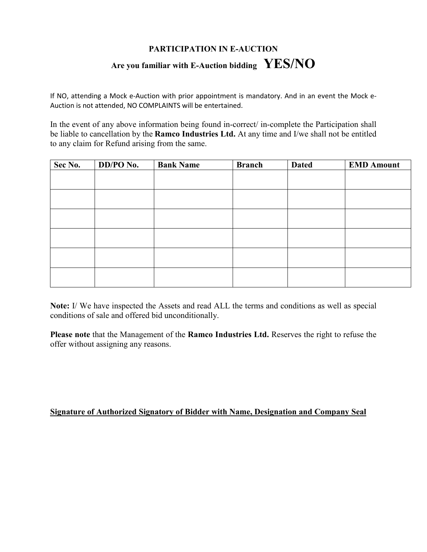### **PARTICIPATION IN E-AUCTION**

### **Are you familiar with E-Auction bidding YES/NO**

If NO, attending a Mock e-Auction with prior appointment is mandatory. And in an event the Mock e-Auction is not attended, NO COMPLAINTS will be entertained.

In the event of any above information being found in-correct/ in-complete the Participation shall be liable to cancellation by the **Ramco Industries Ltd.** At any time and I/we shall not be entitled to any claim for Refund arising from the same.

| Sec No. | DD/PO No. | <b>Bank Name</b> | <b>Branch</b> | <b>Dated</b> | <b>EMD Amount</b> |
|---------|-----------|------------------|---------------|--------------|-------------------|
|         |           |                  |               |              |                   |
|         |           |                  |               |              |                   |
|         |           |                  |               |              |                   |
|         |           |                  |               |              |                   |
|         |           |                  |               |              |                   |
|         |           |                  |               |              |                   |
|         |           |                  |               |              |                   |
|         |           |                  |               |              |                   |
|         |           |                  |               |              |                   |
|         |           |                  |               |              |                   |
|         |           |                  |               |              |                   |
|         |           |                  |               |              |                   |

**Note:** I/ We have inspected the Assets and read ALL the terms and conditions as well as special conditions of sale and offered bid unconditionally.

**Please note** that the Management of the **Ramco Industries Ltd.** Reserves the right to refuse the offer without assigning any reasons.

#### **Signature of Authorized Signatory of Bidder with Name, Designation and Company Seal**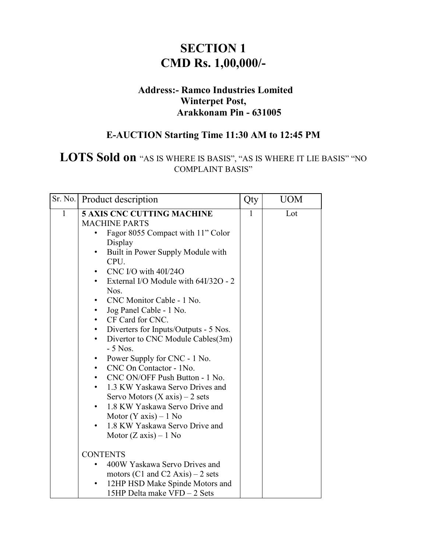### **SECTION 1 CMD Rs. 1,00,000/-**

#### **Address:- Ramco Industries Lomited Winterpet Post, Arakkonam Pin - 631005**

### **E-AUCTION Starting Time 11:30 AM to 12:45 PM**

#### **LOTS Sold on** "AS IS WHERE IS BASIS", "AS IS WHERE IT LIE BASIS" "NO COMPLAINT BASIS"

|              | Sr. No.   Product description                                                                                                                                                                                                                                                                                                                                                                                                                                                                                                                                                                                                                                                                                                                                        | Qty | <b>UOM</b> |
|--------------|----------------------------------------------------------------------------------------------------------------------------------------------------------------------------------------------------------------------------------------------------------------------------------------------------------------------------------------------------------------------------------------------------------------------------------------------------------------------------------------------------------------------------------------------------------------------------------------------------------------------------------------------------------------------------------------------------------------------------------------------------------------------|-----|------------|
| $\mathbf{1}$ | <b>5 AXIS CNC CUTTING MACHINE</b><br><b>MACHINE PARTS</b><br>Fagor 8055 Compact with 11" Color<br>Display<br>Built in Power Supply Module with<br>CPU.<br>CNC I/O with 40I/24O<br>$\bullet$<br>External I/O Module with 64I/32O - 2<br>Nos.<br>CNC Monitor Cable - 1 No.<br>Jog Panel Cable - 1 No.<br>CF Card for CNC.<br>Diverters for Inputs/Outputs - 5 Nos.<br>$\bullet$<br>Divertor to CNC Module Cables(3m)<br>٠<br>$-5$ Nos.<br>Power Supply for CNC - 1 No.<br>CNC On Contactor - 1No.<br>CNC ON/OFF Push Button - 1 No.<br>1.3 KW Yaskawa Servo Drives and<br>$\bullet$<br>Servo Motors $(X axis) - 2 sets$<br>1.8 KW Yaskawa Servo Drive and<br>$\bullet$<br>Motor $(Y axis) - 1 No$<br>1.8 KW Yaskawa Servo Drive and<br>Motor $(Z \text{ axis}) - 1$ No | 1   | Lot        |
|              | <b>CONTENTS</b><br>400W Yaskawa Servo Drives and<br>motors (C1 and C2 Axis) – 2 sets<br>12HP HSD Make Spinde Motors and<br>$\bullet$<br>15HP Delta make VFD - 2 Sets                                                                                                                                                                                                                                                                                                                                                                                                                                                                                                                                                                                                 |     |            |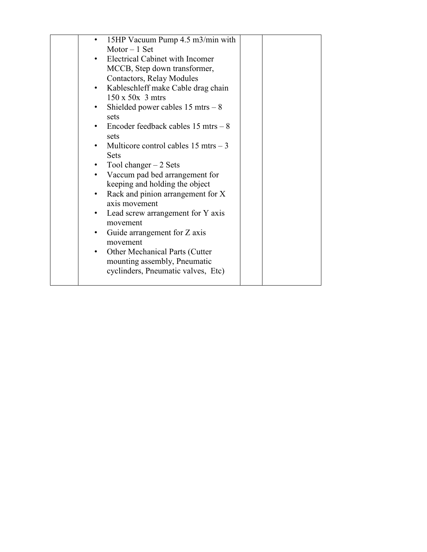| 15HP Vacuum Pump 4.5 m3/min with<br>٠                 |  |
|-------------------------------------------------------|--|
| Motor $-1$ Set                                        |  |
| Electrical Cabinet with Incomer<br>$\bullet$          |  |
| MCCB, Step down transformer,                          |  |
| <b>Contactors, Relay Modules</b>                      |  |
| Kableschleff make Cable drag chain<br>$\bullet$       |  |
| $150 \times 50x$ 3 mtrs                               |  |
| Shielded power cables $15 \text{ m}$ trs $-8$         |  |
| sets                                                  |  |
| Encoder feedback cables $15 \text{ m}$ trs $-8$       |  |
| sets                                                  |  |
| Multicore control cables $15 \text{ m}$ trs $-3$<br>٠ |  |
| <b>Sets</b>                                           |  |
| Tool changer $-2$ Sets<br>٠                           |  |
| Vaccum pad bed arrangement for<br>$\bullet$           |  |
| keeping and holding the object                        |  |
| Rack and pinion arrangement for X<br>$\bullet$        |  |
| axis movement                                         |  |
| Lead screw arrangement for Y axis<br>٠                |  |
| movement                                              |  |
| Guide arrangement for Z axis<br>٠                     |  |
| movement                                              |  |
| Other Mechanical Parts (Cutter<br>$\bullet$           |  |
| mounting assembly, Pneumatic                          |  |
| cyclinders, Pneumatic valves, Etc)                    |  |
|                                                       |  |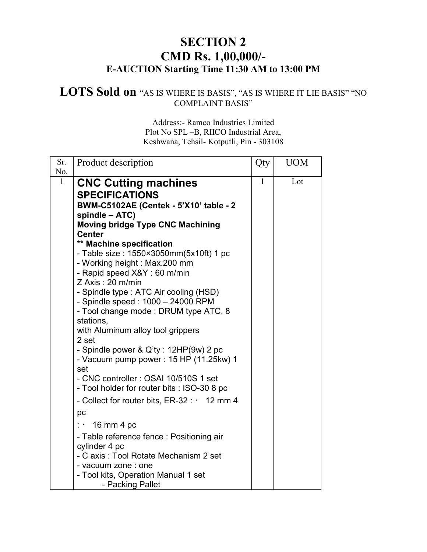### **SECTION 2 CMD Rs. 1,00,000/- E-AUCTION Starting Time 11:30 AM to 13:00 PM**

### **LOTS Sold on** "AS IS WHERE IS BASIS", "AS IS WHERE IT LIE BASIS" "NO COMPLAINT BASIS"

Address:- Ramco Industries Limited Plot No SPL –B, RIICO Industrial Area, Keshwana, Tehsil- Kotputli, Pin - 303108

| Sr.<br>No.   | Product description                                                              | Qty          | <b>UOM</b> |
|--------------|----------------------------------------------------------------------------------|--------------|------------|
| $\mathbf{1}$ | <b>CNC Cutting machines</b>                                                      | $\mathbf{1}$ | Lot        |
|              | <b>SPECIFICATIONS</b>                                                            |              |            |
|              | <b>BWM-C5102AE (Centek - 5'X10' table - 2</b>                                    |              |            |
|              | spindle - ATC)                                                                   |              |            |
|              | <b>Moving bridge Type CNC Machining</b>                                          |              |            |
|              | <b>Center</b>                                                                    |              |            |
|              | ** Machine specification                                                         |              |            |
|              | - Table size: $1550 \times 3050$ mm(5x10ft) 1 pc<br>- Working height: Max.200 mm |              |            |
|              | - Rapid speed X&Y: 60 m/min                                                      |              |            |
|              | Z Axis: 20 m/min                                                                 |              |            |
|              | - Spindle type : ATC Air cooling (HSD)                                           |              |            |
|              | - Spindle speed: 1000 - 24000 RPM                                                |              |            |
|              | - Tool change mode: DRUM type ATC, 8                                             |              |            |
|              | stations,                                                                        |              |            |
|              | with Aluminum alloy tool grippers<br>2 set                                       |              |            |
|              | - Spindle power & Q'ty: 12HP(9w) 2 pc                                            |              |            |
|              | - Vacuum pump power: 15 HP (11.25kw) 1                                           |              |            |
|              | set                                                                              |              |            |
|              | - CNC controller: OSAI 10/510S 1 set                                             |              |            |
|              | - Tool holder for router bits : ISO-30 8 pc                                      |              |            |
|              | - Collect for router bits, $ER-32: 12 \text{ mm } 4$                             |              |            |
|              | pc                                                                               |              |            |
|              | $\therefore$ 16 mm 4 pc                                                          |              |            |
|              | - Table reference fence : Positioning air                                        |              |            |
|              | cylinder 4 pc                                                                    |              |            |
|              | - C axis: Tool Rotate Mechanism 2 set                                            |              |            |
|              | - vacuum zone : one                                                              |              |            |
|              | - Tool kits, Operation Manual 1 set                                              |              |            |
|              | - Packing Pallet                                                                 |              |            |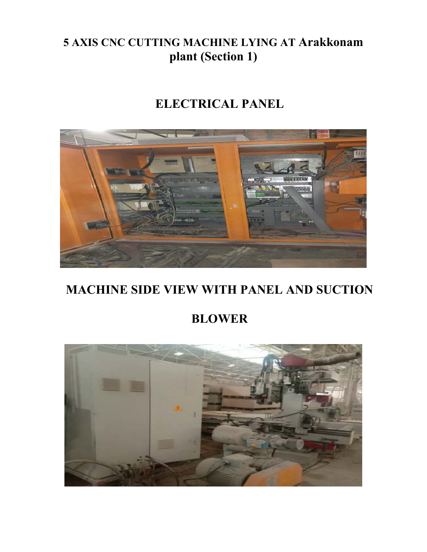### **5 AXIS CNC CUTTING MACHINE LYING AT Arakkonam plant (Section 1)**

### **ELECTRICAL PANEL**



### **MACHINE SIDE VIEW WITH PANEL AND SUCTION**

**BLOWER** 

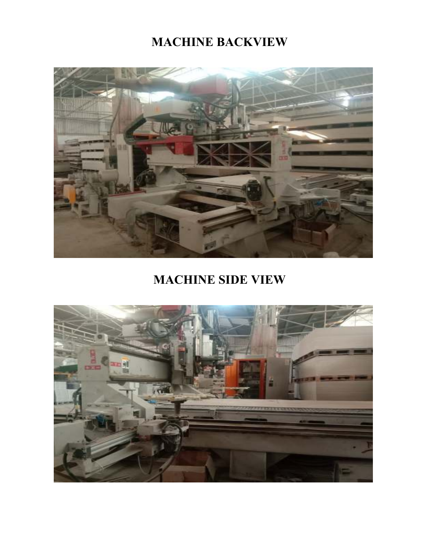### **MACHINE BACKVIEW**



## **MACHINE SIDE VIEW**

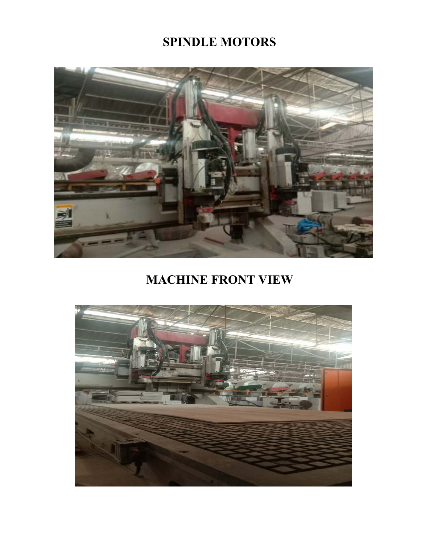## **SPINDLE MOTORS**



## **MACHINE FRONT VIEW**

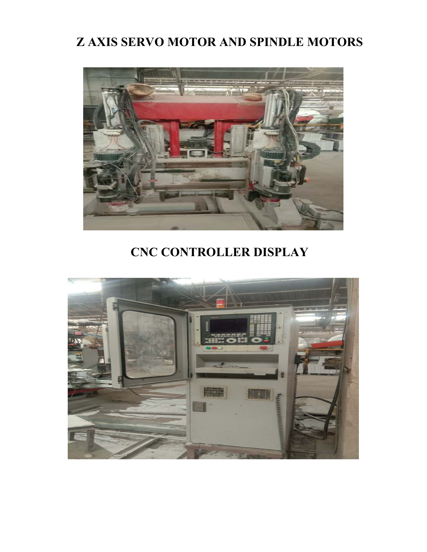## **Z AXIS SERVO MOTOR AND SPINDLE MOTORS**



**CNC CONTROLLER DISPLAY** 

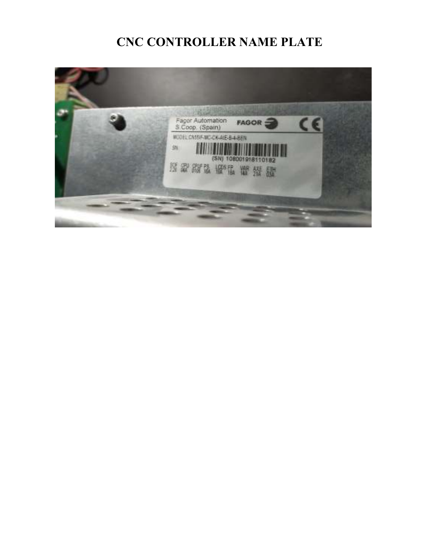### **CNC CONTROLLER NAME PLATE**

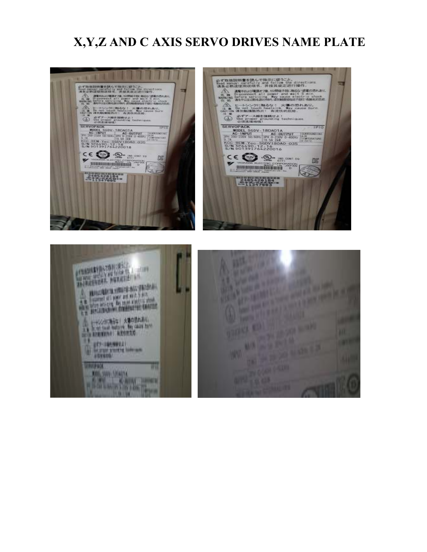### **X,Y,Z AND C AXIS SERVO DRIVES NAME PLATE**

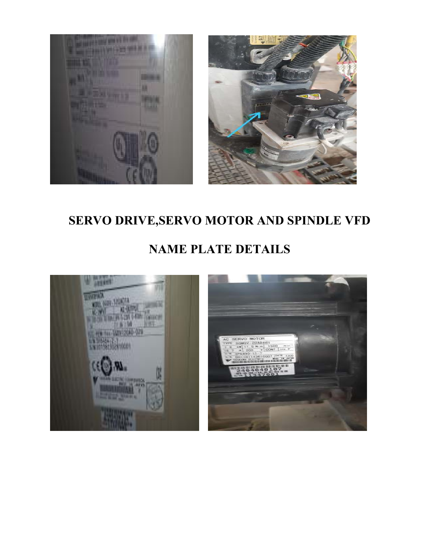

### **SERVO DRIVE,SERVO MOTOR AND SPINDLE VFD**

### **NAME PLATE DETAILS**

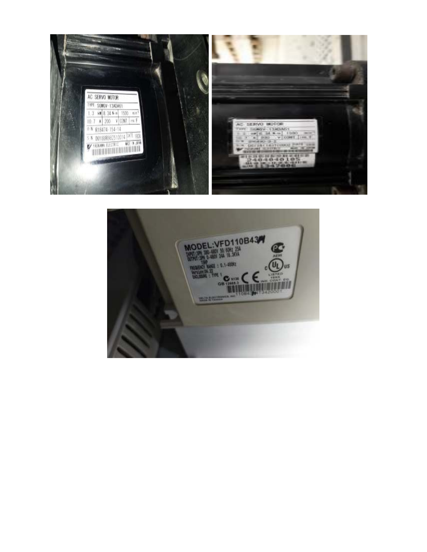![](_page_19_Picture_0.jpeg)

![](_page_19_Picture_1.jpeg)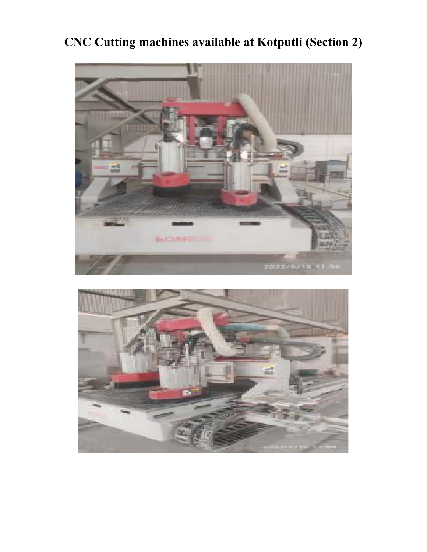**CNC Cutting machines available at Kotputli (Section 2)**

![](_page_20_Picture_1.jpeg)

![](_page_20_Picture_2.jpeg)